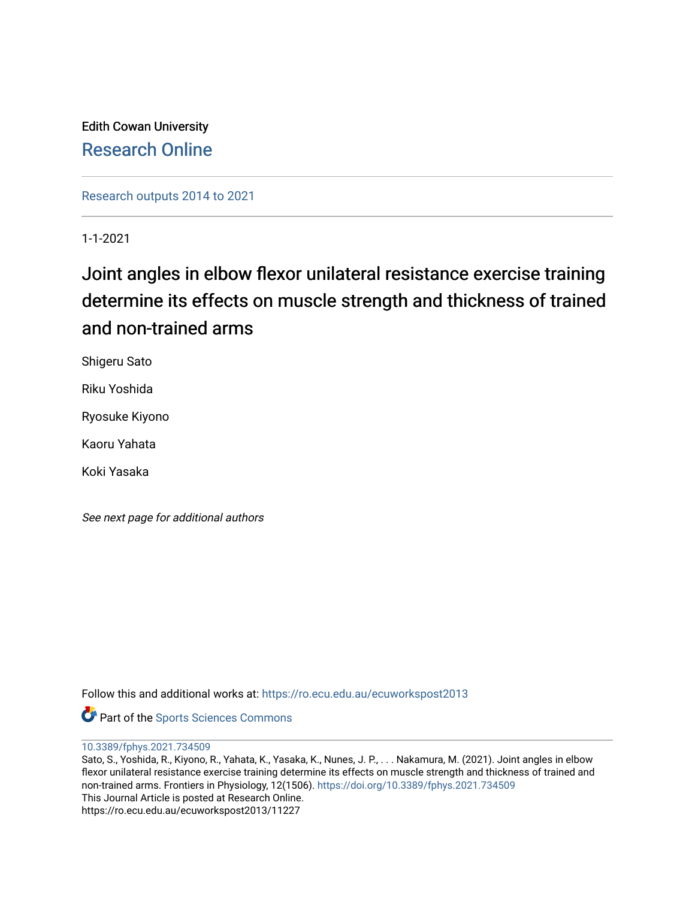Edith Cowan University [Research Online](https://ro.ecu.edu.au/) 

[Research outputs 2014 to 2021](https://ro.ecu.edu.au/ecuworkspost2013) 

1-1-2021

# Joint angles in elbow flexor unilateral resistance exercise training determine its effects on muscle strength and thickness of trained and non-trained arms

Shigeru Sato

Riku Yoshida

Ryosuke Kiyono

Kaoru Yahata

Koki Yasaka

See next page for additional authors

Follow this and additional works at: [https://ro.ecu.edu.au/ecuworkspost2013](https://ro.ecu.edu.au/ecuworkspost2013?utm_source=ro.ecu.edu.au%2Fecuworkspost2013%2F11227&utm_medium=PDF&utm_campaign=PDFCoverPages) 

**Part of the Sports Sciences Commons** 

[10.3389/fphys.2021.734509](http://dx.doi.org/10.3389/fphys.2021.734509) 

Sato, S., Yoshida, R., Kiyono, R., Yahata, K., Yasaka, K., Nunes, J. P., . . . Nakamura, M. (2021). Joint angles in elbow flexor unilateral resistance exercise training determine its effects on muscle strength and thickness of trained and non-trained arms. Frontiers in Physiology, 12(1506). <https://doi.org/10.3389/fphys.2021.734509> This Journal Article is posted at Research Online. https://ro.ecu.edu.au/ecuworkspost2013/11227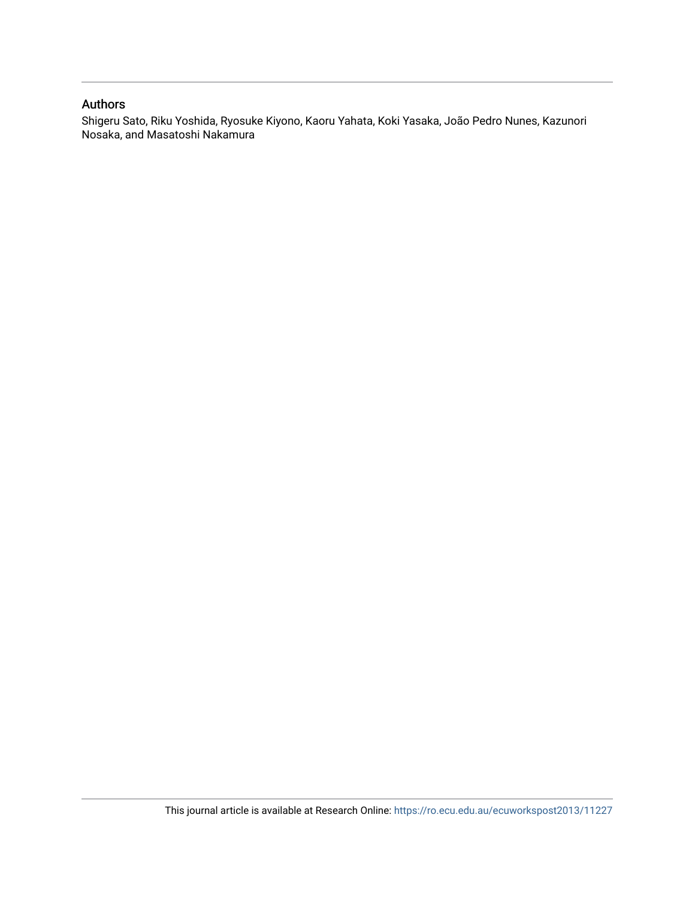#### Authors

Shigeru Sato, Riku Yoshida, Ryosuke Kiyono, Kaoru Yahata, Koki Yasaka, João Pedro Nunes, Kazunori Nosaka, and Masatoshi Nakamura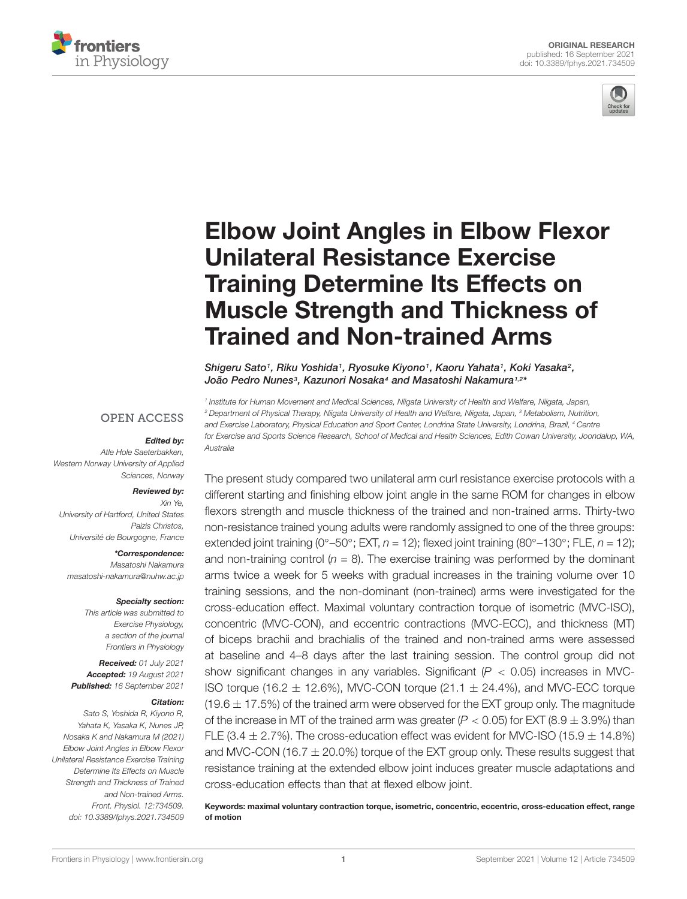



# [Elbow Joint Angles in Elbow Flexor](https://www.frontiersin.org/articles/10.3389/fphys.2021.734509/full) Unilateral Resistance Exercise Training Determine Its Effects on Muscle Strength and Thickness of Trained and Non-trained Arms

Shigeru Sato<sup>1</sup>, Riku Yoshida<sup>1</sup>, Ryosuke Kiyono<sup>1</sup>, Kaoru Yahata<sup>1</sup>, Koki Yasaka<sup>2</sup>, João Pedro Nunesª, Kazunori Nosaka4 and Masatoshi Nakamura1,2\*

1 Institute for Human Movement and Medical Sciences, Niigata University of Health and Welfare, Niigata, Japan, <sup>2</sup> Department of Physical Therapy, Niigata University of Health and Welfare, Niigata, Japan, <sup>3</sup> Metabolism, Nutrition, and Exercise Laboratory, Physical Education and Sport Center, Londrina State University, Londrina, Brazil, <sup>4</sup> Centre for Exercise and Sports Science Research, School of Medical and Health Sciences, Edith Cowan University, Joondalup, WA, Australia

#### **OPEN ACCESS**

#### Edited by:

Atle Hole Saeterbakken, Western Norway University of Applied Sciences, Norway

#### Reviewed by:

Xin Ye, University of Hartford, United States Paizis Christos, Université de Bourgogne, France

\*Correspondence: Masatoshi Nakamura [masatoshi-nakamura@nuhw.ac.jp](mailto:masatoshi-nakamura@nuhw.ac.jp)

#### Specialty section:

This article was submitted to Exercise Physiology, a section of the journal Frontiers in Physiology

Received: 01 July 2021 Accepted: 19 August 2021 Published: 16 September 2021

#### Citation:

Sato S, Yoshida R, Kiyono R, Yahata K, Yasaka K, Nunes JP, Nosaka K and Nakamura M (2021) Elbow Joint Angles in Elbow Flexor Unilateral Resistance Exercise Training Determine Its Effects on Muscle Strength and Thickness of Trained and Non-trained Arms. Front. Physiol. 12:734509. doi: [10.3389/fphys.2021.734509](https://doi.org/10.3389/fphys.2021.734509) The present study compared two unilateral arm curl resistance exercise protocols with a different starting and finishing elbow joint angle in the same ROM for changes in elbow flexors strength and muscle thickness of the trained and non-trained arms. Thirty-two non-resistance trained young adults were randomly assigned to one of the three groups: extended joint training (0°–50°; EXT,  $n = 12$ ); flexed joint training (80°–130°; FLE,  $n = 12$ ); and non-training control  $(n = 8)$ . The exercise training was performed by the dominant arms twice a week for 5 weeks with gradual increases in the training volume over 10 training sessions, and the non-dominant (non-trained) arms were investigated for the cross-education effect. Maximal voluntary contraction torque of isometric (MVC-ISO), concentric (MVC-CON), and eccentric contractions (MVC-ECC), and thickness (MT) of biceps brachii and brachialis of the trained and non-trained arms were assessed at baseline and 4–8 days after the last training session. The control group did not show significant changes in any variables. Significant ( $P < 0.05$ ) increases in MVC-ISO torque (16.2  $\pm$  12.6%), MVC-CON torque (21.1  $\pm$  24.4%), and MVC-ECC torque  $(19.6 \pm 17.5%)$  of the trained arm were observed for the EXT group only. The magnitude of the increase in MT of the trained arm was greater  $(P < 0.05)$  for EXT (8.9  $\pm$  3.9%) than FLE (3.4  $\pm$  2.7%). The cross-education effect was evident for MVC-ISO (15.9  $\pm$  14.8%) and MVC-CON (16.7  $\pm$  20.0%) torque of the EXT group only. These results suggest that resistance training at the extended elbow joint induces greater muscle adaptations and cross-education effects than that at flexed elbow joint.

Keywords: maximal voluntary contraction torque, isometric, concentric, eccentric, cross-education effect, range of motion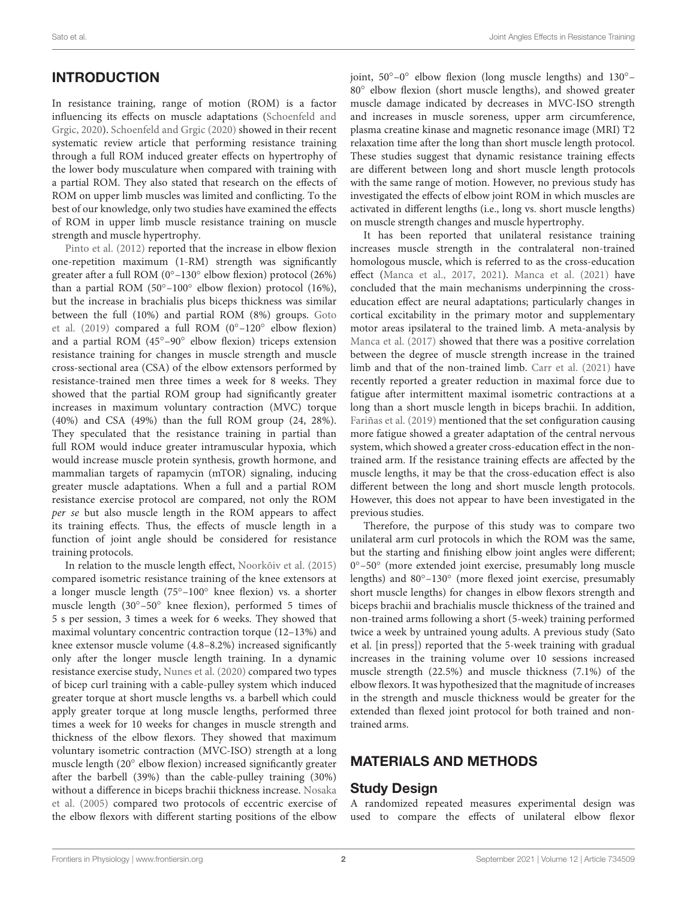# **INTRODUCTION**

In resistance training, range of motion (ROM) is a factor influencing its effects on muscle adaptations [\(Schoenfeld and](#page-10-0) [Grgic,](#page-10-0) [2020\)](#page-10-0). [Schoenfeld and Grgic](#page-10-0) [\(2020\)](#page-10-0) showed in their recent systematic review article that performing resistance training through a full ROM induced greater effects on hypertrophy of the lower body musculature when compared with training with a partial ROM. They also stated that research on the effects of ROM on upper limb muscles was limited and conflicting. To the best of our knowledge, only two studies have examined the effects of ROM in upper limb muscle resistance training on muscle strength and muscle hypertrophy.

[Pinto et al.](#page-10-1) [\(2012\)](#page-10-1) reported that the increase in elbow flexion one-repetition maximum (1-RM) strength was significantly greater after a full ROM (0◦–130◦ elbow flexion) protocol (26%) than a partial ROM (50◦–100◦ elbow flexion) protocol (16%), but the increase in brachialis plus biceps thickness was similar between the full (10%) and partial ROM (8%) groups. [Goto](#page-10-2) [et al.](#page-10-2) [\(2019\)](#page-10-2) compared a full ROM (0◦–120◦ elbow flexion) and a partial ROM (45◦–90◦ elbow flexion) triceps extension resistance training for changes in muscle strength and muscle cross-sectional area (CSA) of the elbow extensors performed by resistance-trained men three times a week for 8 weeks. They showed that the partial ROM group had significantly greater increases in maximum voluntary contraction (MVC) torque (40%) and CSA (49%) than the full ROM group (24, 28%). They speculated that the resistance training in partial than full ROM would induce greater intramuscular hypoxia, which would increase muscle protein synthesis, growth hormone, and mammalian targets of rapamycin (mTOR) signaling, inducing greater muscle adaptations. When a full and a partial ROM resistance exercise protocol are compared, not only the ROM per se but also muscle length in the ROM appears to affect its training effects. Thus, the effects of muscle length in a function of joint angle should be considered for resistance training protocols.

In relation to the muscle length effect, [Noorkõiv et al.](#page-10-3) [\(2015\)](#page-10-3) compared isometric resistance training of the knee extensors at a longer muscle length (75◦–100◦ knee flexion) vs. a shorter muscle length (30◦–50◦ knee flexion), performed 5 times of 5 s per session, 3 times a week for 6 weeks. They showed that maximal voluntary concentric contraction torque (12–13%) and knee extensor muscle volume (4.8–8.2%) increased significantly only after the longer muscle length training. In a dynamic resistance exercise study, [Nunes et al.](#page-10-4) [\(2020\)](#page-10-4) compared two types of bicep curl training with a cable-pulley system which induced greater torque at short muscle lengths vs. a barbell which could apply greater torque at long muscle lengths, performed three times a week for 10 weeks for changes in muscle strength and thickness of the elbow flexors. They showed that maximum voluntary isometric contraction (MVC-ISO) strength at a long muscle length (20° elbow flexion) increased significantly greater after the barbell (39%) than the cable-pulley training (30%) without a difference in biceps brachii thickness increase. [Nosaka](#page-10-5) [et al.](#page-10-5) [\(2005\)](#page-10-5) compared two protocols of eccentric exercise of the elbow flexors with different starting positions of the elbow

joint, 50◦–0◦ elbow flexion (long muscle lengths) and 130◦– 80◦ elbow flexion (short muscle lengths), and showed greater muscle damage indicated by decreases in MVC-ISO strength and increases in muscle soreness, upper arm circumference, plasma creatine kinase and magnetic resonance image (MRI) T2 relaxation time after the long than short muscle length protocol. These studies suggest that dynamic resistance training effects are different between long and short muscle length protocols with the same range of motion. However, no previous study has investigated the effects of elbow joint ROM in which muscles are activated in different lengths (i.e., long vs. short muscle lengths) on muscle strength changes and muscle hypertrophy.

It has been reported that unilateral resistance training increases muscle strength in the contralateral non-trained homologous muscle, which is referred to as the cross-education effect [\(Manca et al.,](#page-10-6) [2017,](#page-10-6) [2021\)](#page-10-7). [Manca et al.](#page-10-7) [\(2021\)](#page-10-7) have concluded that the main mechanisms underpinning the crosseducation effect are neural adaptations; particularly changes in cortical excitability in the primary motor and supplementary motor areas ipsilateral to the trained limb. A meta-analysis by [Manca et al.](#page-10-6) [\(2017\)](#page-10-6) showed that there was a positive correlation between the degree of muscle strength increase in the trained limb and that of the non-trained limb. [Carr et al.](#page-10-8) [\(2021\)](#page-10-8) have recently reported a greater reduction in maximal force due to fatigue after intermittent maximal isometric contractions at a long than a short muscle length in biceps brachii. In addition, [Fariñas et al.](#page-10-9) [\(2019\)](#page-10-9) mentioned that the set configuration causing more fatigue showed a greater adaptation of the central nervous system, which showed a greater cross-education effect in the nontrained arm. If the resistance training effects are affected by the muscle lengths, it may be that the cross-education effect is also different between the long and short muscle length protocols. However, this does not appear to have been investigated in the previous studies.

Therefore, the purpose of this study was to compare two unilateral arm curl protocols in which the ROM was the same, but the starting and finishing elbow joint angles were different; 0 ◦–50◦ (more extended joint exercise, presumably long muscle lengths) and 80◦–130◦ (more flexed joint exercise, presumably short muscle lengths) for changes in elbow flexors strength and biceps brachii and brachialis muscle thickness of the trained and non-trained arms following a short (5-week) training performed twice a week by untrained young adults. A previous study (Sato et al. [in press]) reported that the 5-week training with gradual increases in the training volume over 10 sessions increased muscle strength (22.5%) and muscle thickness (7.1%) of the elbow flexors. It was hypothesized that the magnitude of increases in the strength and muscle thickness would be greater for the extended than flexed joint protocol for both trained and nontrained arms.

#### MATERIALS AND METHODS

#### Study Design

A randomized repeated measures experimental design was used to compare the effects of unilateral elbow flexor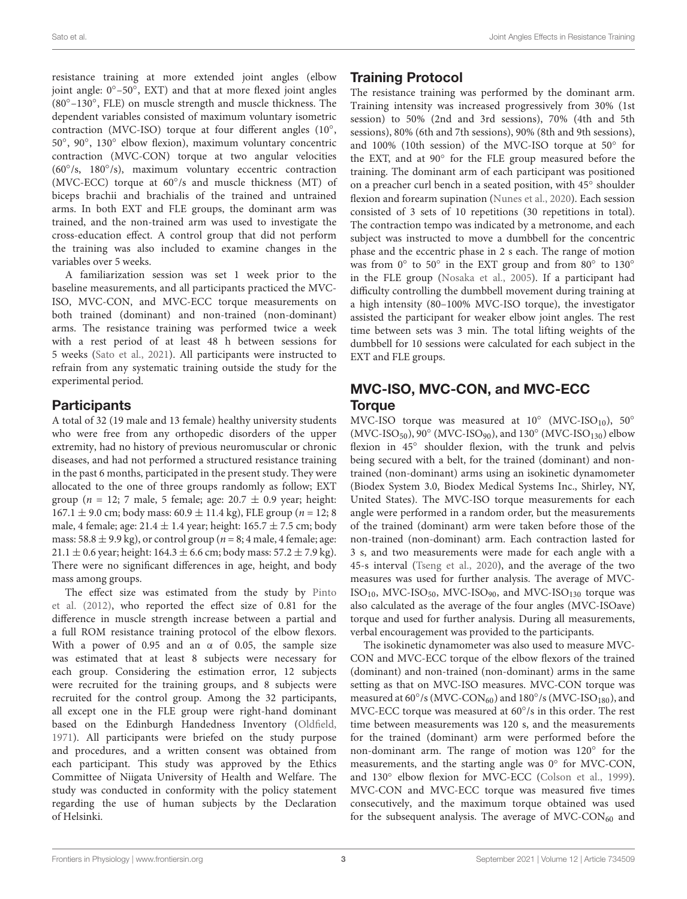resistance training at more extended joint angles (elbow joint angle:  $0^{\circ}$ -50 $^{\circ}$ , EXT) and that at more flexed joint angles (80◦–130◦ , FLE) on muscle strength and muscle thickness. The dependent variables consisted of maximum voluntary isometric contraction (MVC-ISO) torque at four different angles (10°, 50◦ , 90◦ , 130◦ elbow flexion), maximum voluntary concentric contraction (MVC-CON) torque at two angular velocities (60◦ /s, 180◦ /s), maximum voluntary eccentric contraction (MVC-ECC) torque at 60◦ /s and muscle thickness (MT) of biceps brachii and brachialis of the trained and untrained arms. In both EXT and FLE groups, the dominant arm was trained, and the non-trained arm was used to investigate the cross-education effect. A control group that did not perform the training was also included to examine changes in the variables over 5 weeks.

A familiarization session was set 1 week prior to the baseline measurements, and all participants practiced the MVC-ISO, MVC-CON, and MVC-ECC torque measurements on both trained (dominant) and non-trained (non-dominant) arms. The resistance training was performed twice a week with a rest period of at least 48 h between sessions for 5 weeks [\(Sato et al.,](#page-10-10) [2021\)](#page-10-10). All participants were instructed to refrain from any systematic training outside the study for the experimental period.

#### **Participants**

A total of 32 (19 male and 13 female) healthy university students who were free from any orthopedic disorders of the upper extremity, had no history of previous neuromuscular or chronic diseases, and had not performed a structured resistance training in the past 6 months, participated in the present study. They were allocated to the one of three groups randomly as follow; EXT group ( $n = 12$ ; 7 male, 5 female; age:  $20.7 \pm 0.9$  year; height:  $167.1 \pm 9.0$  cm; body mass:  $60.9 \pm 11.4$  kg), FLE group ( $n = 12$ ; 8) male, 4 female; age:  $21.4 \pm 1.4$  year; height:  $165.7 \pm 7.5$  cm; body mass:  $58.8 \pm 9.9$  kg), or control group ( $n = 8$ ; 4 male, 4 female; age: 21.1  $\pm$  0.6 year; height: 164.3  $\pm$  6.6 cm; body mass: 57.2  $\pm$  7.9 kg). There were no significant differences in age, height, and body mass among groups.

The effect size was estimated from the study by [Pinto](#page-10-1) [et al.](#page-10-1) [\(2012\)](#page-10-1), who reported the effect size of 0.81 for the difference in muscle strength increase between a partial and a full ROM resistance training protocol of the elbow flexors. With a power of 0.95 and an  $\alpha$  of 0.05, the sample size was estimated that at least 8 subjects were necessary for each group. Considering the estimation error, 12 subjects were recruited for the training groups, and 8 subjects were recruited for the control group. Among the 32 participants, all except one in the FLE group were right-hand dominant based on the Edinburgh Handedness Inventory [\(Oldfield,](#page-10-11) [1971\)](#page-10-11). All participants were briefed on the study purpose and procedures, and a written consent was obtained from each participant. This study was approved by the Ethics Committee of Niigata University of Health and Welfare. The study was conducted in conformity with the policy statement regarding the use of human subjects by the Declaration of Helsinki.

### Training Protocol

The resistance training was performed by the dominant arm. Training intensity was increased progressively from 30% (1st session) to 50% (2nd and 3rd sessions), 70% (4th and 5th sessions), 80% (6th and 7th sessions), 90% (8th and 9th sessions), and 100% (10th session) of the MVC-ISO torque at 50◦ for the EXT, and at 90◦ for the FLE group measured before the training. The dominant arm of each participant was positioned on a preacher curl bench in a seated position, with 45◦ shoulder flexion and forearm supination [\(Nunes et al.,](#page-10-4) [2020\)](#page-10-4). Each session consisted of 3 sets of 10 repetitions (30 repetitions in total). The contraction tempo was indicated by a metronome, and each subject was instructed to move a dumbbell for the concentric phase and the eccentric phase in 2 s each. The range of motion was from  $0^\circ$  to  $50^\circ$  in the EXT group and from  $80^\circ$  to  $130^\circ$ in the FLE group [\(Nosaka et al.,](#page-10-5) [2005\)](#page-10-5). If a participant had difficulty controlling the dumbbell movement during training at a high intensity (80–100% MVC-ISO torque), the investigator assisted the participant for weaker elbow joint angles. The rest time between sets was 3 min. The total lifting weights of the dumbbell for 10 sessions were calculated for each subject in the EXT and FLE groups.

### MVC-ISO, MVC-CON, and MVC-ECC **Torque**

MVC-ISO torque was measured at  $10^{\circ}$  (MVC-ISO<sub>10</sub>),  $50^{\circ}$ (MVC-ISO<sub>50</sub>), 90° (MVC-ISO<sub>90</sub>), and 130° (MVC-ISO<sub>130</sub>) elbow flexion in 45° shoulder flexion, with the trunk and pelvis being secured with a belt, for the trained (dominant) and nontrained (non-dominant) arms using an isokinetic dynamometer (Biodex System 3.0, Biodex Medical Systems Inc., Shirley, NY, United States). The MVC-ISO torque measurements for each angle were performed in a random order, but the measurements of the trained (dominant) arm were taken before those of the non-trained (non-dominant) arm. Each contraction lasted for 3 s, and two measurements were made for each angle with a 45-s interval [\(Tseng et al.,](#page-10-12) [2020\)](#page-10-12), and the average of the two measures was used for further analysis. The average of MVC- $ISO<sub>10</sub>$ , MVC-ISO<sub>50</sub>, MVC-ISO<sub>90</sub>, and MVC-ISO<sub>130</sub> torque was also calculated as the average of the four angles (MVC-ISOave) torque and used for further analysis. During all measurements, verbal encouragement was provided to the participants.

The isokinetic dynamometer was also used to measure MVC-CON and MVC-ECC torque of the elbow flexors of the trained (dominant) and non-trained (non-dominant) arms in the same setting as that on MVC-ISO measures. MVC-CON torque was measured at  $60^{\circ}/s$  (MVC-CON<sub>60</sub>) and  $180^{\circ}/s$  (MVC-ISO<sub>180</sub>), and MVC-ECC torque was measured at 60°/s in this order. The rest time between measurements was 120 s, and the measurements for the trained (dominant) arm were performed before the non-dominant arm. The range of motion was 120◦ for the measurements, and the starting angle was 0◦ for MVC-CON, and 130◦ elbow flexion for MVC-ECC [\(Colson et al.,](#page-10-13) [1999\)](#page-10-13). MVC-CON and MVC-ECC torque was measured five times consecutively, and the maximum torque obtained was used for the subsequent analysis. The average of  $\text{MVC-CON}_{60}$  and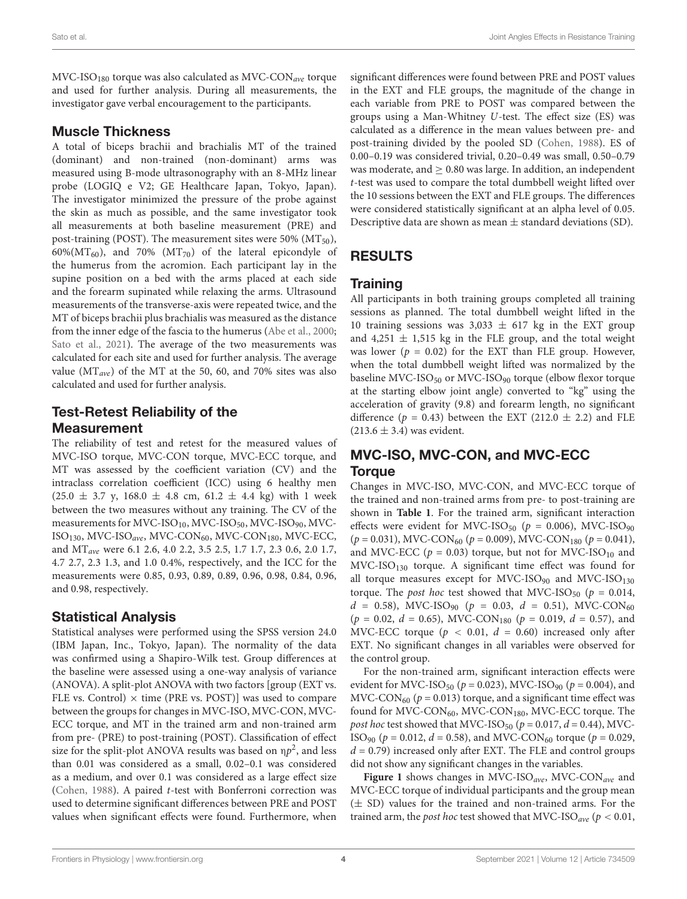$\text{MVC-ISO}_{180}$  torque was also calculated as  $\text{MVC-CON}_{ave}$  torque and used for further analysis. During all measurements, the investigator gave verbal encouragement to the participants.

#### Muscle Thickness

A total of biceps brachii and brachialis MT of the trained (dominant) and non-trained (non-dominant) arms was measured using B-mode ultrasonography with an 8-MHz linear probe (LOGIQ e V2; GE Healthcare Japan, Tokyo, Japan). The investigator minimized the pressure of the probe against the skin as much as possible, and the same investigator took all measurements at both baseline measurement (PRE) and post-training (POST). The measurement sites were 50% ( $MT_{50}$ ), 60%( $MT_{60}$ ), and 70% ( $MT_{70}$ ) of the lateral epicondyle of the humerus from the acromion. Each participant lay in the supine position on a bed with the arms placed at each side and the forearm supinated while relaxing the arms. Ultrasound measurements of the transverse-axis were repeated twice, and the MT of biceps brachii plus brachialis was measured as the distance from the inner edge of the fascia to the humerus [\(Abe et al.,](#page-10-14) [2000;](#page-10-14) [Sato et al.,](#page-10-10) [2021\)](#page-10-10). The average of the two measurements was calculated for each site and used for further analysis. The average value ( $MT_{ave}$ ) of the MT at the 50, 60, and 70% sites was also calculated and used for further analysis.

### Test-Retest Reliability of the Measurement

The reliability of test and retest for the measured values of MVC-ISO torque, MVC-CON torque, MVC-ECC torque, and MT was assessed by the coefficient variation (CV) and the intraclass correlation coefficient (ICC) using 6 healthy men  $(25.0 \pm 3.7 \text{ y}, 168.0 \pm 4.8 \text{ cm}, 61.2 \pm 4.4 \text{ kg})$  with 1 week between the two measures without any training. The CV of the measurements for MVC-ISO<sub>10</sub>, MVC-ISO<sub>50</sub>, MVC-ISO<sub>90</sub>, MVC-ISO<sub>130</sub>, MVC-ISO<sub>ave</sub>, MVC-CON<sub>60</sub>, MVC-CON<sub>180</sub>, MVC-ECC, and MTave were 6.1 2.6, 4.0 2.2, 3.5 2.5, 1.7 1.7, 2.3 0.6, 2.0 1.7, 4.7 2.7, 2.3 1.3, and 1.0 0.4%, respectively, and the ICC for the measurements were 0.85, 0.93, 0.89, 0.89, 0.96, 0.98, 0.84, 0.96, and 0.98, respectively.

#### Statistical Analysis

Statistical analyses were performed using the SPSS version 24.0 (IBM Japan, Inc., Tokyo, Japan). The normality of the data was confirmed using a Shapiro-Wilk test. Group differences at the baseline were assessed using a one-way analysis of variance (ANOVA). A split-plot ANOVA with two factors [group (EXT vs. FLE vs. Control)  $\times$  time (PRE vs. POST)] was used to compare between the groups for changes in MVC-ISO, MVC-CON, MVC-ECC torque, and MT in the trained arm and non-trained arm from pre- (PRE) to post-training (POST). Classification of effect size for the split-plot ANOVA results was based on  $np^2$ , and less than 0.01 was considered as a small, 0.02–0.1 was considered as a medium, and over 0.1 was considered as a large effect size [\(Cohen,](#page-10-15) [1988\)](#page-10-15). A paired t-test with Bonferroni correction was used to determine significant differences between PRE and POST values when significant effects were found. Furthermore, when

significant differences were found between PRE and POST values in the EXT and FLE groups, the magnitude of the change in each variable from PRE to POST was compared between the groups using a Man-Whitney U-test. The effect size (ES) was calculated as a difference in the mean values between pre- and post-training divided by the pooled SD [\(Cohen,](#page-10-15) [1988\)](#page-10-15). ES of 0.00–0.19 was considered trivial, 0.20–0.49 was small, 0.50–0.79 was moderate, and  $\geq 0.80$  was large. In addition, an independent t-test was used to compare the total dumbbell weight lifted over the 10 sessions between the EXT and FLE groups. The differences were considered statistically significant at an alpha level of 0.05. Descriptive data are shown as mean  $\pm$  standard deviations (SD).

# RESULTS

#### **Training**

All participants in both training groups completed all training sessions as planned. The total dumbbell weight lifted in the 10 training sessions was  $3,033 \pm 617$  kg in the EXT group and 4,251  $\pm$  1,515 kg in the FLE group, and the total weight was lower ( $p = 0.02$ ) for the EXT than FLE group. However, when the total dumbbell weight lifted was normalized by the baseline MVC-ISO $_{50}$  or MVC-ISO $_{90}$  torque (elbow flexor torque at the starting elbow joint angle) converted to "kg" using the acceleration of gravity (9.8) and forearm length, no significant difference ( $p = 0.43$ ) between the EXT (212.0  $\pm$  2.2) and FLE  $(213.6 \pm 3.4)$  was evident.

### MVC-ISO, MVC-CON, and MVC-ECC **Torque**

Changes in MVC-ISO, MVC-CON, and MVC-ECC torque of the trained and non-trained arms from pre- to post-training are shown in **[Table 1](#page-6-0)**. For the trained arm, significant interaction effects were evident for MVC-ISO<sub>50</sub> ( $p = 0.006$ ), MVC-ISO<sub>90</sub>  $(p = 0.031)$ , MVC-CON<sub>60</sub>  $(p = 0.009)$ , MVC-CON<sub>180</sub>  $(p = 0.041)$ , and MVC-ECC ( $p = 0.03$ ) torque, but not for MVC-ISO<sub>10</sub> and  $MVC-ISO_{130}$  torque. A significant time effect was found for all torque measures except for MVC-ISO $_{90}$  and MVC-ISO $_{130}$ torque. The *post hoc* test showed that MVC-ISO<sub>50</sub> ( $p = 0.014$ ,  $d = 0.58$ ), MVC-ISO<sub>90</sub> ( $p = 0.03$ ,  $d = 0.51$ ), MVC-CON<sub>60</sub>  $(p = 0.02, d = 0.65)$ , MVC-CON<sub>180</sub>  $(p = 0.019, d = 0.57)$ , and MVC-ECC torque ( $p < 0.01$ ,  $d = 0.60$ ) increased only after EXT. No significant changes in all variables were observed for the control group.

For the non-trained arm, significant interaction effects were evident for MVC-ISO<sub>50</sub> ( $p = 0.023$ ), MVC-ISO<sub>90</sub> ( $p = 0.004$ ), and MVC-CON<sub>60</sub> ( $p = 0.013$ ) torque, and a significant time effect was found for MVC-CON<sub>60</sub>, MVC-CON<sub>180</sub>, MVC-ECC torque. The post hoc test showed that MVC-ISO<sub>50</sub> ( $p = 0.017$ ,  $d = 0.44$ ), MVC-ISO<sub>90</sub> ( $p = 0.012$ ,  $d = 0.58$ ), and MVC-CON<sub>60</sub> torque ( $p = 0.029$ ,  $d = 0.79$ ) increased only after EXT. The FLE and control groups did not show any significant changes in the variables.

[Figure 1](#page-7-0) shows changes in MVC-ISO<sub>ave</sub>, MVC-CON<sub>ave</sub> and MVC-ECC torque of individual participants and the group mean (± SD) values for the trained and non-trained arms. For the trained arm, the *post hoc* test showed that MVC-ISO<sub>ave</sub> ( $p < 0.01$ ,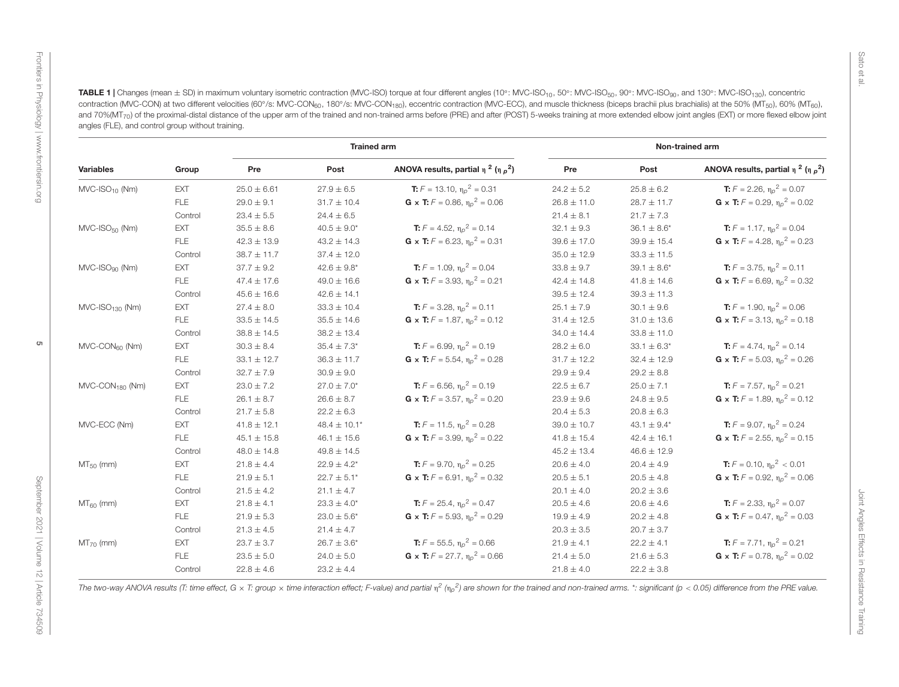| <b>TIGKS</b> |  |
|--------------|--|
|              |  |
|              |  |
| YOION        |  |
| à            |  |
|              |  |
|              |  |
| ם<br>נוח     |  |
| ·usuel·      |  |
| ءِ<br>م      |  |

Front

± SD) in maximum voluntary isometric contraction (MVC-ISO) torque at four different angles (10 ◦: MVC-ISO10, 50◦: MVC-ISO50, 90◦: MVC-ISO90, and 130◦: MVC-ISO130), concentriccontraction (MVC-CON) at two different velocities (60°/s: MVC-CON<sub>60</sub>, 180°/s: MVC-CON<sub>180</sub>), eccentric contraction (MVC-ECC), and muscle thickness (biceps brachii plus brachialis) at the 50% (MT<sub>50</sub>), 60% (MT<sub>60</sub>) and 70%(MT<sub>70</sub>) of the proximal-distal distance of the upper arm of the trained and non-trained arms before (PRE) and after (POST) 5-weeks training at more extended elbow joint angles (EXT) or more flexed elbow joint angles (FLE), and control group without training.

| Variables                      | Group      | <b>Trained arm</b> |                  | Non-trained arm                                     |                 |                  |                                                            |
|--------------------------------|------------|--------------------|------------------|-----------------------------------------------------|-----------------|------------------|------------------------------------------------------------|
|                                |            | Pre                | Post             | ANOVA results, partial $\eta^2$ ( $\eta \rho^2$ )   | Pre             | Post             | ANOVA results, partial $\eta^2$ ( $\eta \rho^2$ )          |
| $MVC$ -ISO <sub>10</sub> (Nm)  | EXT        | $25.0 \pm 6.61$    | $27.9 \pm 6.5$   | <b>T:</b> $F = 13.10$ , $\eta_p^2 = 0.31$           | $24.2 \pm 5.2$  | $25.8 \pm 6.2$   | <b>T:</b> $F = 2.26$ , $\eta_p^2 = 0.07$                   |
|                                | <b>FLE</b> | $29.0 \pm 9.1$     | $31.7 \pm 10.4$  | <b>G</b> x <b>T:</b> $F = 0.86$ , $\eta_p^2 = 0.06$ | $26.8 \pm 11.0$ | $28.7 \pm 11.7$  | <b>G</b> x <b>T:</b> $F = 0.29$ , $\eta_p^2 = 0.02$        |
|                                | Control    | $23.4 \pm 5.5$     | $24.4 \pm 6.5$   |                                                     | $21.4 \pm 8.1$  | $21.7 \pm 7.3$   |                                                            |
| $MVC$ -ISO $_{50}$ (Nm)        | EXT        | $35.5 \pm 8.6$     | $40.5 \pm 9.0^*$ | <b>T:</b> $F = 4.52$ , $\eta_0^2 = 0.14$            | $32.1 \pm 9.3$  | $36.1 \pm 8.6^*$ | <b>T:</b> $F = 1.17$ , $\eta_p^2 = 0.04$                   |
|                                | FLE        | $42.3 \pm 13.9$    | $43.2 \pm 14.3$  | <b>G</b> x <b>T:</b> $F = 6.23$ , $\eta_0^2 = 0.31$ | $39.6 \pm 17.0$ | $39.9 \pm 15.4$  | <b>G</b> x <b>T:</b> $F = 4.28$ , $\eta_p^2 = 0.23$        |
|                                | Control    | $38.7 \pm 11.7$    | $37.4 \pm 12.0$  |                                                     | $35.0 \pm 12.9$ | $33.3 \pm 11.5$  |                                                            |
| $MVC$ -ISO $_{90}$ (Nm)        | EXT        | $37.7 \pm 9.2$     | $42.6 \pm 9.8^*$ | <b>T:</b> $F = 1.09$ , $\eta_0^2 = 0.04$            | $33.8 \pm 9.7$  | $39.1 \pm 8.6^*$ | <b>T:</b> $F = 3.75$ , $\eta_p^2 = 0.11$                   |
|                                | <b>FLE</b> | $47.4 \pm 17.6$    | $49.0 \pm 16.6$  | <b>G</b> x <b>T:</b> $F = 3.93$ , $\eta_p^2 = 0.21$ | $42.4 \pm 14.8$ | $41.8 \pm 14.6$  | <b>G</b> x <b>T:</b> $F = 6.69$ , $\eta_p^2 = 0.32$        |
|                                | Control    | $45.6 \pm 16.6$    | $42.6 \pm 14.1$  |                                                     | $39.5 \pm 12.4$ | $39.3 \pm 11.3$  |                                                            |
| $MVC$ -ISO <sub>130</sub> (Nm) | EXT        | $27.4 \pm 8.0$     | $33.3 \pm 10.4$  | <b>T:</b> $F = 3.28$ , $\eta_p^2 = 0.11$            | $25.1 \pm 7.9$  | $30.1 \pm 9.6$   | <b>T:</b> $F = 1.90$ , $\eta_p^2 = 0.06$                   |
|                                | FLE        | $33.5 \pm 14.5$    | $35.5 \pm 14.6$  | <b>G</b> x <b>T:</b> $F = 1.87$ , $\eta_p^2 = 0.12$ | $31.4 \pm 12.5$ | $31.0 \pm 13.6$  | <b>G</b> x <b>T:</b> $F = 3.13$ , $\eta_p^2 = 0.18$        |
|                                | Control    | $38.8 \pm 14.5$    | $38.2 \pm 13.4$  |                                                     | $34.0 \pm 14.4$ | $33.8 \pm 11.0$  |                                                            |
| $MVC$ -CO $N_{60}$ (Nm)        | EXT        | $30.3 \pm 8.4$     | $35.4 \pm 7.3*$  | <b>T:</b> $F = 6.99$ , $\eta_p^2 = 0.19$            | $28.2 \pm 6.0$  | $33.1 \pm 6.3^*$ | <b>T:</b> $F = 4.74$ , $\eta_p^2 = 0.14$                   |
|                                | FLE        | $33.1 \pm 12.7$    | $36.3 \pm 11.7$  | <b>G</b> x <b>T:</b> $F = 5.54$ , $\eta_0^2 = 0.28$ | $31.7 \pm 12.2$ | $32.4 \pm 12.9$  | <b>G</b> x <b>T:</b> $F = 5.03$ , $\eta_p^2 = 0.26$        |
|                                | Control    | $32.7 \pm 7.9$     | $30.9 \pm 9.0$   |                                                     | $29.9 \pm 9.4$  | $29.2 \pm 8.8$   |                                                            |
| $MVC$ -CO $N_{180}$ (Nm)       | EXT        | $23.0 \pm 7.2$     | $27.0 \pm 7.0*$  | <b>T:</b> $F = 6.56$ , $\eta_{0}^{2} = 0.19$        | $22.5 \pm 6.7$  | $25.0 \pm 7.1$   | <b>T:</b> $F = 7.57$ , $\eta_p^2 = 0.21$                   |
|                                | <b>FLE</b> | $26.1 \pm 8.7$     | $26.6 \pm 8.7$   | <b>G</b> x <b>T:</b> $F = 3.57$ , $\eta_0^2 = 0.20$ | $23.9 \pm 9.6$  | $24.8 \pm 9.5$   | <b>G</b> x <b>T:</b> $F = 1.89$ , $\eta_p^2 = 0.12$        |
|                                | Control    | $21.7 \pm 5.8$     | $22.2 \pm 6.3$   |                                                     | $20.4 \pm 5.3$  | $20.8 \pm 6.3$   |                                                            |
| MVC-ECC (Nm)                   | EXT        | $41.8 \pm 12.1$    | $48.4 \pm 10.1*$ | <b>T:</b> $F = 11.5$ , $\eta_{0}^{2} = 0.28$        | $39.0 \pm 10.7$ | $43.1 \pm 9.4^*$ | <b>T:</b> $F = 9.07$ , $\eta_p^2 = 0.24$                   |
|                                | <b>FLE</b> | $45.1 \pm 15.8$    | $46.1 \pm 15.6$  | <b>G</b> x <b>T:</b> $F = 3.99$ , $\eta_p^2 = 0.22$ | $41.8 \pm 15.4$ | $42.4 \pm 16.1$  | <b>G</b> x <b>T:</b> $F = 2.55$ , $\eta_p^2 = 0.15$        |
|                                | Control    | $48.0 \pm 14.8$    | $49.8 \pm 14.5$  |                                                     | $45.2 \pm 13.4$ | $46.6 \pm 12.9$  |                                                            |
| $MT_{50}$ (mm)                 | EXT        | $21.8 \pm 4.4$     | $22.9 \pm 4.2^*$ | <b>T:</b> $F = 9.70$ , $\eta_{p}^{2} = 0.25$        | $20.6 \pm 4.0$  | $20.4 \pm 4.9$   | <b>T:</b> $F = 0.10$ , $\eta_{0}^{2} < 0.01$               |
|                                | FLE        | $21.9 \pm 5.1$     | $22.7 \pm 5.1*$  | <b>G</b> x <b>T:</b> $F = 6.91$ , $\eta_p^2 = 0.32$ | $20.5\pm5.1$    | $20.5 \pm 4.8$   | <b>G</b> x <b>T:</b> $F = 0.92$ , $\eta_p^2 = 0.06$        |
|                                | Control    | $21.5 \pm 4.2$     | $21.1 \pm 4.7$   |                                                     | $20.1 \pm 4.0$  | $20.2 \pm 3.6$   |                                                            |
| $MT_{60}$ (mm)                 | EXT        | $21.8 \pm 4.1$     | $23.3 \pm 4.0^*$ | <b>T:</b> $F = 25.4$ , $\eta_0^2 = 0.47$            | $20.5 \pm 4.6$  | $20.6 \pm 4.6$   | <b>T:</b> $F = 2.33$ , $\eta_p^2 = 0.07$                   |
|                                | FLE        | $21.9 \pm 5.3$     | $23.0 \pm 5.6^*$ | <b>G</b> x <b>T:</b> $F = 5.93$ , $n_p^2 = 0.29$    | $19.9 \pm 4.9$  | $20.2 \pm 4.8$   | <b>G</b> $\times$ <b>T:</b> $F = 0.47$ , $\eta_p^2 = 0.03$ |
|                                | Control    | $21.3 \pm 4.5$     | $21.4 \pm 4.7$   |                                                     | $20.3 \pm 3.5$  | $20.7 \pm 3.7$   |                                                            |
| $MT70$ (mm)                    | EXT        | $23.7 \pm 3.7$     | $26.7 \pm 3.6^*$ | <b>T:</b> $F = 55.5$ , $\eta_0^2 = 0.66$            | $21.9 \pm 4.1$  | $22.2 \pm 4.1$   | <b>T:</b> $F = 7.71$ , $\eta_p^2 = 0.21$                   |
|                                | FLE        | $23.5 \pm 5.0$     | $24.0 \pm 5.0$   | <b>G</b> x <b>T:</b> $F = 27.7$ , $\eta_p^2 = 0.66$ | $21.4 \pm 5.0$  | $21.6 \pm 5.3$   | <b>G</b> x <b>T:</b> $F = 0.78$ , $\eta_{0}^{2} = 0.02$    |
|                                | Control    | $22.8 \pm 4.6$     | $23.2 \pm 4.4$   |                                                     | $21.8 \pm 4.0$  | $22.2 \pm 3.8$   |                                                            |

<span id="page-6-0"></span> $\sigma$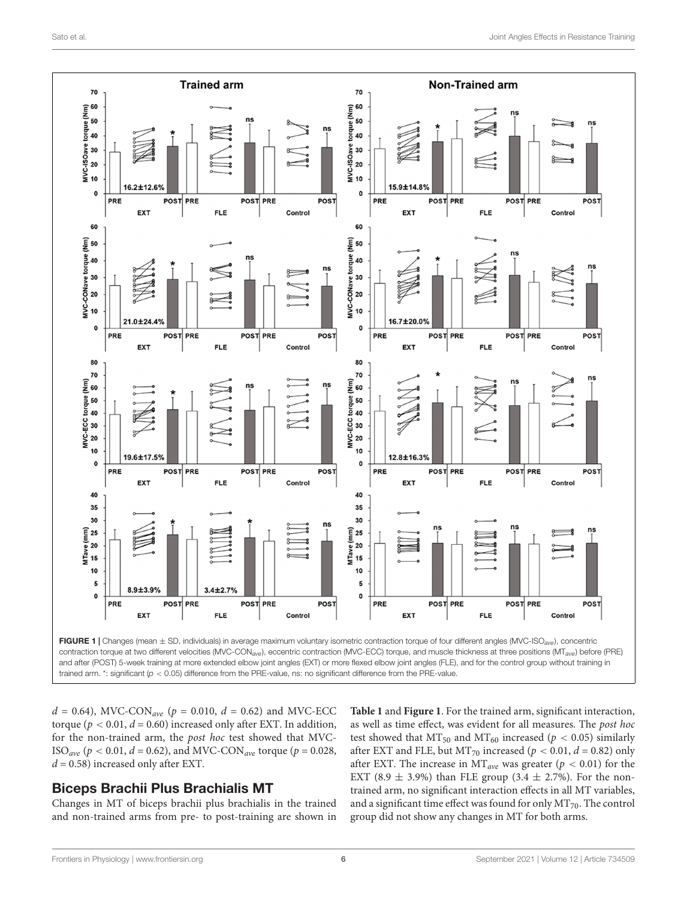

<span id="page-7-0"></span> $d = 0.64$ ), MVC-CON<sub>ave</sub> ( $p = 0.010$ ,  $d = 0.62$ ) and MVC-ECC torque ( $p < 0.01$ ,  $d = 0.60$ ) increased only after EXT. In addition, for the non-trained arm, the post hoc test showed that MVC-ISO<sub>ave</sub> ( $p < 0.01$ ,  $d = 0.62$ ), and MVC-CON<sub>ave</sub> torque ( $p = 0.028$ ,  $d = 0.58$ ) increased only after EXT.

#### Biceps Brachii Plus Brachialis MT

Changes in MT of biceps brachii plus brachialis in the trained and non-trained arms from pre- to post-training are shown in **[Table 1](#page-6-0)** and **[Figure 1](#page-7-0)**. For the trained arm, significant interaction, as well as time effect, was evident for all measures. The post hoc test showed that  $MT_{50}$  and  $MT_{60}$  increased ( $p < 0.05$ ) similarly after EXT and FLE, but MT<sub>70</sub> increased ( $p < 0.01$ ,  $d = 0.82$ ) only after EXT. The increase in  $MT_{ave}$  was greater ( $p < 0.01$ ) for the EXT (8.9  $\pm$  3.9%) than FLE group (3.4  $\pm$  2.7%). For the nontrained arm, no significant interaction effects in all MT variables, and a significant time effect was found for only  $MT_{70}$ . The control group did not show any changes in MT for both arms.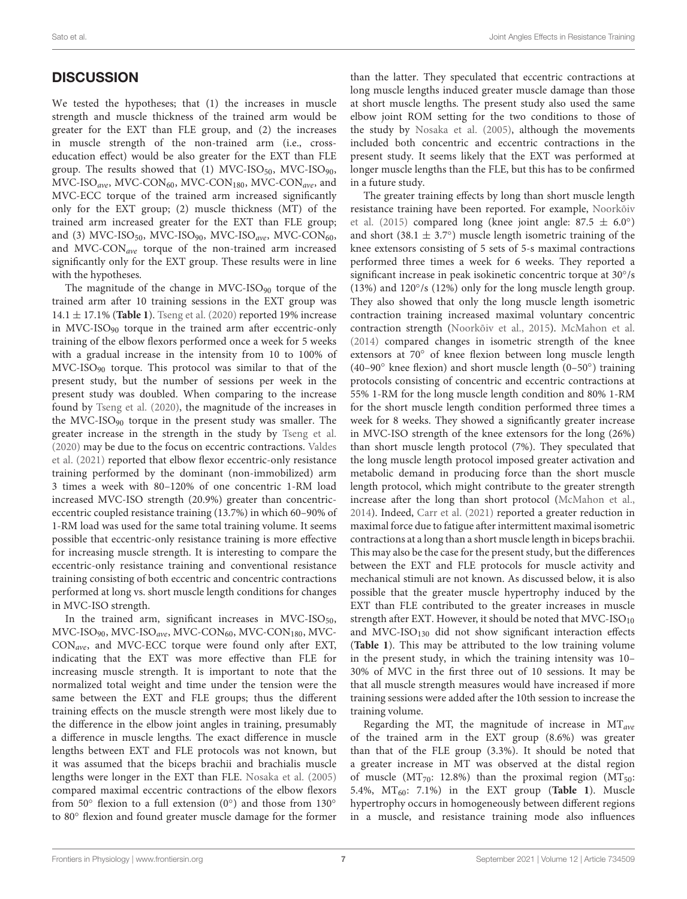## **DISCUSSION**

We tested the hypotheses; that (1) the increases in muscle strength and muscle thickness of the trained arm would be greater for the EXT than FLE group, and (2) the increases in muscle strength of the non-trained arm (i.e., crosseducation effect) would be also greater for the EXT than FLE group. The results showed that (1) MVC-ISO<sub>50</sub>, MVC-ISO<sub>90</sub>,  $MVC-ISO_{ave}$ , MVC-CON<sub>60</sub>, MVC-CON<sub>180</sub>, MVC-CON<sub>ave</sub>, and MVC-ECC torque of the trained arm increased significantly only for the EXT group; (2) muscle thickness (MT) of the trained arm increased greater for the EXT than FLE group; and (3) MVC-ISO<sub>50</sub>, MVC-ISO<sub>90</sub>, MVC-ISO<sub>ave</sub>, MVC-CON<sub>60</sub>, and  $MVC-CON_{ave}$  torque of the non-trained arm increased significantly only for the EXT group. These results were in line with the hypotheses.

The magnitude of the change in  $MVC-ISO_{90}$  torque of the trained arm after 10 training sessions in the EXT group was 14.1 ± 17.1% (**[Table 1](#page-6-0)**). [Tseng et al.](#page-10-12) [\(2020\)](#page-10-12) reported 19% increase in MVC-ISO<sup>90</sup> torque in the trained arm after eccentric-only training of the elbow flexors performed once a week for 5 weeks with a gradual increase in the intensity from 10 to 100% of  $MVC-ISO<sub>90</sub>$  torque. This protocol was similar to that of the present study, but the number of sessions per week in the present study was doubled. When comparing to the increase found by [Tseng et al.](#page-10-12) [\(2020\)](#page-10-12), the magnitude of the increases in the MVC-ISO<sup>90</sup> torque in the present study was smaller. The greater increase in the strength in the study by [Tseng et al.](#page-10-12) [\(2020\)](#page-10-12) may be due to the focus on eccentric contractions. [Valdes](#page-10-16) [et al.](#page-10-16) [\(2021\)](#page-10-16) reported that elbow flexor eccentric-only resistance training performed by the dominant (non-immobilized) arm 3 times a week with 80–120% of one concentric 1-RM load increased MVC-ISO strength (20.9%) greater than concentriceccentric coupled resistance training (13.7%) in which 60–90% of 1-RM load was used for the same total training volume. It seems possible that eccentric-only resistance training is more effective for increasing muscle strength. It is interesting to compare the eccentric-only resistance training and conventional resistance training consisting of both eccentric and concentric contractions performed at long vs. short muscle length conditions for changes in MVC-ISO strength.

In the trained arm, significant increases in MVC-ISO $_{50}$ ,  $MVC-ISO_{90}$ ,  $MVC-ISO_{ave}$ ,  $MVC-CON_{60}$ ,  $MVC-CON_{180}$ ,  $MVC-$ CONave, and MVC-ECC torque were found only after EXT, indicating that the EXT was more effective than FLE for increasing muscle strength. It is important to note that the normalized total weight and time under the tension were the same between the EXT and FLE groups; thus the different training effects on the muscle strength were most likely due to the difference in the elbow joint angles in training, presumably a difference in muscle lengths. The exact difference in muscle lengths between EXT and FLE protocols was not known, but it was assumed that the biceps brachii and brachialis muscle lengths were longer in the EXT than FLE. [Nosaka et al.](#page-10-5) [\(2005\)](#page-10-5) compared maximal eccentric contractions of the elbow flexors from 50 $\degree$  flexion to a full extension (0 $\degree$ ) and those from 130 $\degree$ to 80◦ flexion and found greater muscle damage for the former

than the latter. They speculated that eccentric contractions at long muscle lengths induced greater muscle damage than those at short muscle lengths. The present study also used the same elbow joint ROM setting for the two conditions to those of the study by [Nosaka et al.](#page-10-5) [\(2005\)](#page-10-5), although the movements included both concentric and eccentric contractions in the present study. It seems likely that the EXT was performed at longer muscle lengths than the FLE, but this has to be confirmed in a future study.

The greater training effects by long than short muscle length resistance training have been reported. For example, [Noorkõiv](#page-10-3) [et al.](#page-10-3) [\(2015\)](#page-10-3) compared long (knee joint angle:  $87.5 \pm 6.0^\circ$ ) and short (38.1  $\pm$  3.7°) muscle length isometric training of the knee extensors consisting of 5 sets of 5-s maximal contractions performed three times a week for 6 weeks. They reported a significant increase in peak isokinetic concentric torque at 30°/s (13%) and 120°/s (12%) only for the long muscle length group. They also showed that only the long muscle length isometric contraction training increased maximal voluntary concentric contraction strength [\(Noorkõiv et al.,](#page-10-3) [2015\)](#page-10-3). [McMahon et al.](#page-10-17) [\(2014\)](#page-10-17) compared changes in isometric strength of the knee extensors at 70◦ of knee flexion between long muscle length (40–90◦ knee flexion) and short muscle length (0–50◦ ) training protocols consisting of concentric and eccentric contractions at 55% 1-RM for the long muscle length condition and 80% 1-RM for the short muscle length condition performed three times a week for 8 weeks. They showed a significantly greater increase in MVC-ISO strength of the knee extensors for the long (26%) than short muscle length protocol (7%). They speculated that the long muscle length protocol imposed greater activation and metabolic demand in producing force than the short muscle length protocol, which might contribute to the greater strength increase after the long than short protocol [\(McMahon et al.,](#page-10-17) [2014\)](#page-10-17). Indeed, [Carr et al.](#page-10-8) [\(2021\)](#page-10-8) reported a greater reduction in maximal force due to fatigue after intermittent maximal isometric contractions at a long than a short muscle length in biceps brachii. This may also be the case for the present study, but the differences between the EXT and FLE protocols for muscle activity and mechanical stimuli are not known. As discussed below, it is also possible that the greater muscle hypertrophy induced by the EXT than FLE contributed to the greater increases in muscle strength after EXT. However, it should be noted that  $MVC-ISO_{10}$ and MVC-ISO $_{130}$  did not show significant interaction effects (**[Table 1](#page-6-0)**). This may be attributed to the low training volume in the present study, in which the training intensity was 10– 30% of MVC in the first three out of 10 sessions. It may be that all muscle strength measures would have increased if more training sessions were added after the 10th session to increase the training volume.

Regarding the MT, the magnitude of increase in  $MT_{ave}$ of the trained arm in the EXT group (8.6%) was greater than that of the FLE group (3.3%). It should be noted that a greater increase in MT was observed at the distal region of muscle ( $MT_{70}$ : 12.8%) than the proximal region ( $MT_{50}$ : 5.4%, MT60: 7.1%) in the EXT group (**[Table 1](#page-6-0)**). Muscle hypertrophy occurs in homogeneously between different regions in a muscle, and resistance training mode also influences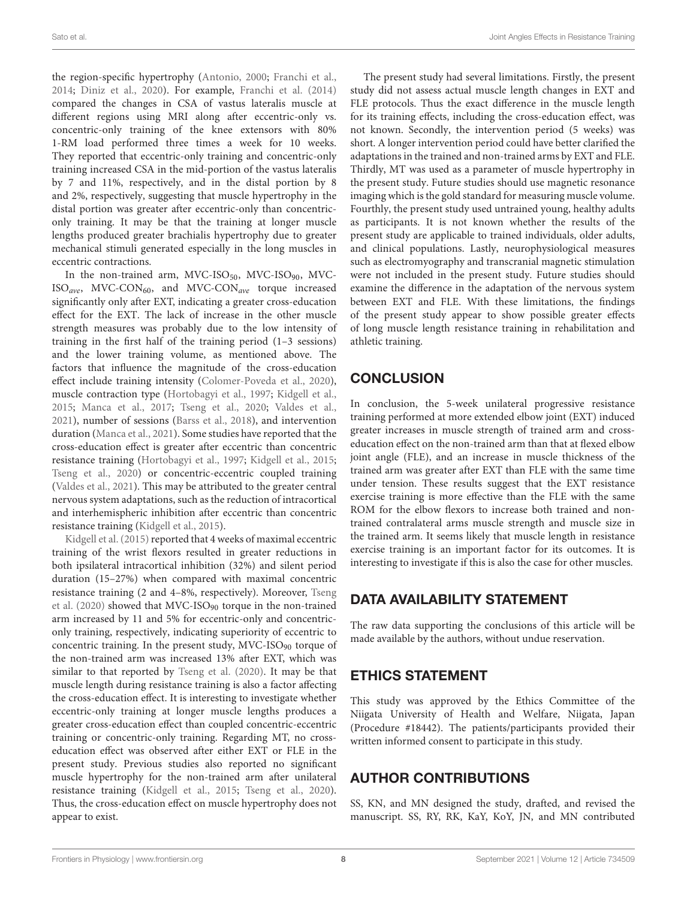the region-specific hypertrophy [\(Antonio,](#page-10-18) [2000;](#page-10-18) [Franchi et al.,](#page-10-19) [2014;](#page-10-19) [Diniz et al.,](#page-10-20) [2020\)](#page-10-20). For example, [Franchi et al.](#page-10-19) [\(2014\)](#page-10-19) compared the changes in CSA of vastus lateralis muscle at different regions using MRI along after eccentric-only vs. concentric-only training of the knee extensors with 80% 1-RM load performed three times a week for 10 weeks. They reported that eccentric-only training and concentric-only training increased CSA in the mid-portion of the vastus lateralis by 7 and 11%, respectively, and in the distal portion by 8 and 2%, respectively, suggesting that muscle hypertrophy in the distal portion was greater after eccentric-only than concentriconly training. It may be that the training at longer muscle lengths produced greater brachialis hypertrophy due to greater mechanical stimuli generated especially in the long muscles in eccentric contractions.

In the non-trained arm, MVC-ISO $_{50}$ , MVC-ISO $_{90}$ , MVC- $ISO_{ave}$ , MVC-CON<sub>60</sub>, and MVC-CON<sub>ave</sub> torque increased significantly only after EXT, indicating a greater cross-education effect for the EXT. The lack of increase in the other muscle strength measures was probably due to the low intensity of training in the first half of the training period (1–3 sessions) and the lower training volume, as mentioned above. The factors that influence the magnitude of the cross-education effect include training intensity [\(Colomer-Poveda et al.,](#page-10-21) [2020\)](#page-10-21), muscle contraction type [\(Hortobagyi et al.,](#page-10-22) [1997;](#page-10-22) [Kidgell et al.,](#page-10-23) [2015;](#page-10-23) [Manca et al.,](#page-10-6) [2017;](#page-10-6) [Tseng et al.,](#page-10-12) [2020;](#page-10-12) [Valdes et al.,](#page-10-16) [2021\)](#page-10-16), number of sessions [\(Barss et al.,](#page-10-24) [2018\)](#page-10-24), and intervention duration [\(Manca et al.,](#page-10-7) [2021\)](#page-10-7). Some studies have reported that the cross-education effect is greater after eccentric than concentric resistance training [\(Hortobagyi et al.,](#page-10-22) [1997;](#page-10-22) [Kidgell et al.,](#page-10-23) [2015;](#page-10-23) [Tseng et al.,](#page-10-12) [2020\)](#page-10-12) or concentric-eccentric coupled training [\(Valdes et al.,](#page-10-16) [2021\)](#page-10-16). This may be attributed to the greater central nervous system adaptations, such as the reduction of intracortical and interhemispheric inhibition after eccentric than concentric resistance training [\(Kidgell et al.,](#page-10-23) [2015\)](#page-10-23).

[Kidgell et al.](#page-10-23) [\(2015\)](#page-10-23) reported that 4 weeks of maximal eccentric training of the wrist flexors resulted in greater reductions in both ipsilateral intracortical inhibition (32%) and silent period duration (15–27%) when compared with maximal concentric resistance training (2 and 4–8%, respectively). Moreover, [Tseng](#page-10-12) [et al.](#page-10-12) [\(2020\)](#page-10-12) showed that MVC-ISO<sup>90</sup> torque in the non-trained arm increased by 11 and 5% for eccentric-only and concentriconly training, respectively, indicating superiority of eccentric to concentric training. In the present study, MVC-ISO<sub>90</sub> torque of the non-trained arm was increased 13% after EXT, which was similar to that reported by [Tseng et al.](#page-10-12) [\(2020\)](#page-10-12). It may be that muscle length during resistance training is also a factor affecting the cross-education effect. It is interesting to investigate whether eccentric-only training at longer muscle lengths produces a greater cross-education effect than coupled concentric-eccentric training or concentric-only training. Regarding MT, no crosseducation effect was observed after either EXT or FLE in the present study. Previous studies also reported no significant muscle hypertrophy for the non-trained arm after unilateral resistance training [\(Kidgell et al.,](#page-10-23) [2015;](#page-10-23) [Tseng et al.,](#page-10-12) [2020\)](#page-10-12). Thus, the cross-education effect on muscle hypertrophy does not appear to exist.

The present study had several limitations. Firstly, the present study did not assess actual muscle length changes in EXT and FLE protocols. Thus the exact difference in the muscle length for its training effects, including the cross-education effect, was not known. Secondly, the intervention period (5 weeks) was short. A longer intervention period could have better clarified the adaptations in the trained and non-trained arms by EXT and FLE. Thirdly, MT was used as a parameter of muscle hypertrophy in the present study. Future studies should use magnetic resonance imaging which is the gold standard for measuring muscle volume. Fourthly, the present study used untrained young, healthy adults as participants. It is not known whether the results of the present study are applicable to trained individuals, older adults, and clinical populations. Lastly, neurophysiological measures such as electromyography and transcranial magnetic stimulation were not included in the present study. Future studies should examine the difference in the adaptation of the nervous system between EXT and FLE. With these limitations, the findings of the present study appear to show possible greater effects of long muscle length resistance training in rehabilitation and athletic training.

# **CONCLUSION**

In conclusion, the 5-week unilateral progressive resistance training performed at more extended elbow joint (EXT) induced greater increases in muscle strength of trained arm and crosseducation effect on the non-trained arm than that at flexed elbow joint angle (FLE), and an increase in muscle thickness of the trained arm was greater after EXT than FLE with the same time under tension. These results suggest that the EXT resistance exercise training is more effective than the FLE with the same ROM for the elbow flexors to increase both trained and nontrained contralateral arms muscle strength and muscle size in the trained arm. It seems likely that muscle length in resistance exercise training is an important factor for its outcomes. It is interesting to investigate if this is also the case for other muscles.

# DATA AVAILABILITY STATEMENT

The raw data supporting the conclusions of this article will be made available by the authors, without undue reservation.

## ETHICS STATEMENT

This study was approved by the Ethics Committee of the Niigata University of Health and Welfare, Niigata, Japan (Procedure #18442). The patients/participants provided their written informed consent to participate in this study.

## AUTHOR CONTRIBUTIONS

SS, KN, and MN designed the study, drafted, and revised the manuscript. SS, RY, RK, KaY, KoY, JN, and MN contributed